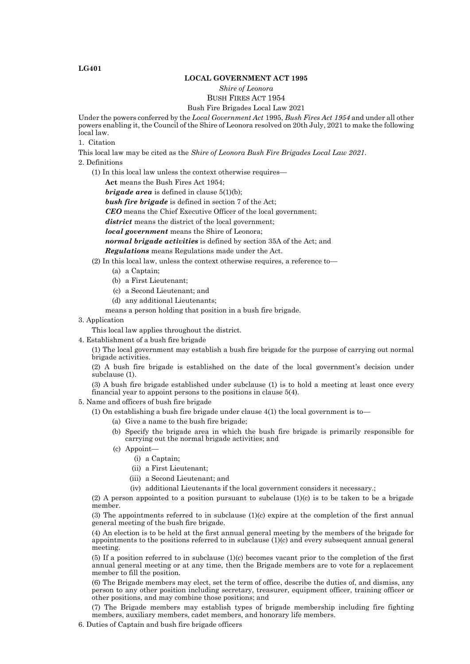### **LOCAL GOVERNMENT ACT 1995**

## *Shire of Leonora*

# BUSH FIRES ACT 1954

## Bush Fire Brigades Local Law 2021

Under the powers conferred by the *Local Government Act* 1995, *Bush Fires Act 1954* and under all other powers enabling it, the Council of the Shire of Leonora resolved on 20th July, 2021 to make the following local law.

1. Citation

This local law may be cited as the *Shire of Leonora Bush Fire Brigades Local Law 2021*. 2. Definitions

(1) In this local law unless the context otherwise requires—

**Act** means the Bush Fires Act 1954;

*brigade area* is defined in clause 5(1)(b);

*bush fire brigade* is defined in section 7 of the Act;

*CEO* means the Chief Executive Officer of the local government;

*district* means the district of the local government;

*local government* means the Shire of Leonora;

*normal brigade activities* is defined by section 35A of the Act; and

*Regulations* means Regulations made under the Act.

#### (2) In this local law, unless the context otherwise requires, a reference to—

- (a) a Captain;
	- (b) a First Lieutenant;
	- (c) a Second Lieutenant; and
	- (d) any additional Lieutenants;

means a person holding that position in a bush fire brigade.

3. Application

This local law applies throughout the district.

4. Establishment of a bush fire brigade

(1) The local government may establish a bush fire brigade for the purpose of carrying out normal brigade activities.

(2) A bush fire brigade is established on the date of the local government's decision under subclause (1).

(3) A bush fire brigade established under subclause (1) is to hold a meeting at least once every financial year to appoint persons to the positions in clause 5(4).

## 5. Name and officers of bush fire brigade

- (1) On establishing a bush fire brigade under clause  $4(1)$  the local government is to
	- (a) Give a name to the bush fire brigade;
	- (b) Specify the brigade area in which the bush fire brigade is primarily responsible for carrying out the normal brigade activities; and
	- (c) Appoint—
		- (i) a Captain;
		- (ii) a First Lieutenant;
		- (iii) a Second Lieutenant; and
		- (iv) additional Lieutenants if the local government considers it necessary.;

(2) A person appointed to a position pursuant to subclause  $(1)(c)$  is to be taken to be a brigade member.

(3) The appointments referred to in subclause (1)(c) expire at the completion of the first annual general meeting of the bush fire brigade.

(4) An election is to be held at the first annual general meeting by the members of the brigade for appointments to the positions referred to in subclause (1)(c) and every subsequent annual general meeting.

(5) If a position referred to in subclause (1)(c) becomes vacant prior to the completion of the first annual general meeting or at any time, then the Brigade members are to vote for a replacement member to fill the position.

(6) The Brigade members may elect, set the term of office, describe the duties of, and dismiss, any person to any other position including secretary, treasurer, equipment officer, training officer or other positions, and may combine those positions; and

(7) The Brigade members may establish types of brigade membership including fire fighting members, auxiliary members, cadet members, and honorary life members.

6. Duties of Captain and bush fire brigade officers

#### **LG401**